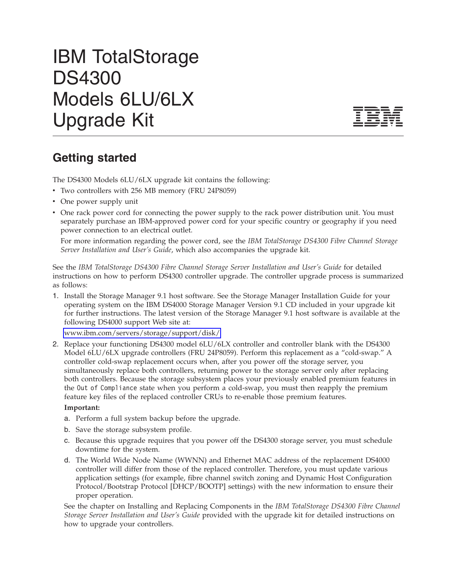## IBM TotalStorage DS4300 Models 6LU/6LX Upgrade Kit



## **Getting started**

The DS4300 Models 6LU/6LX upgrade kit contains the following:

- Two controllers with 256 MB memory (FRU 24P8059)
- One power supply unit
- One rack power cord for connecting the power supply to the rack power distribution unit. You must separately purchase an IBM-approved power cord for your specific country or geography if you need power connection to an electrical outlet.

For more information regarding the power cord, see the *IBM TotalStorage DS4300 Fibre Channel Storage Server Installation and User's Guide*, which also accompanies the upgrade kit.

See the *IBM TotalStorage DS4300 Fibre Channel Storage Server Installation and User's Guide* for detailed instructions on how to perform DS4300 controller upgrade. The controller upgrade process is summarized as follows:

1. Install the Storage Manager 9.1 host software. See the Storage Manager Installation Guide for your operating system on the IBM DS4000 Storage Manager Version 9.1 CD included in your upgrade kit for further instructions. The latest version of the Storage Manager 9.1 host software is available at the following DS4000 support Web site at:

[www.ibm.com/servers/storage/support/disk/](http://www.ibm.com/servers/storage/support/disk/)

2. Replace your functioning DS4300 model 6LU/6LX controller and controller blank with the DS4300 Model 6LU/6LX upgrade controllers (FRU 24P8059). Perform this replacement as a "cold-swap." A controller cold-swap replacement occurs when, after you power off the storage server, you simultaneously replace both controllers, returning power to the storage server only after replacing both controllers. Because the storage subsystem places your previously enabled premium features in the Out of Compliance state when you perform a cold-swap, you must then reapply the premium feature key files of the replaced controller CRUs to re-enable those premium features.

## **Important:**

- a. Perform a full system backup before the upgrade.
- b. Save the storage subsystem profile.
- c. Because this upgrade requires that you power off the DS4300 storage server, you must schedule downtime for the system.
- d. The World Wide Node Name (WWNN) and Ethernet MAC address of the replacement DS4000 controller will differ from those of the replaced controller. Therefore, you must update various application settings (for example, fibre channel switch zoning and Dynamic Host Configuration Protocol/Bootstrap Protocol [DHCP/BOOTP] settings) with the new information to ensure their proper operation.

See the chapter on Installing and Replacing Components in the *IBM TotalStorage DS4300 Fibre Channel Storage Server Installation and User's Guide* provided with the upgrade kit for detailed instructions on how to upgrade your controllers.